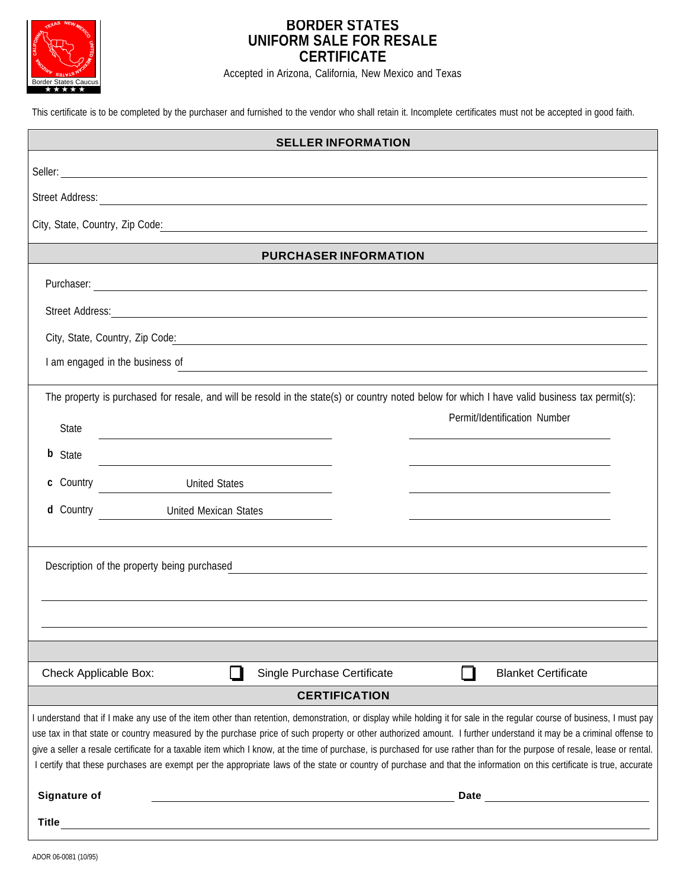

# **BORDER STATES UNIFORM SALE FOR RESALE CERTIFICATE**

Accepted in Arizona, California, New Mexico and Texas

This certificate is to be completed by the purchaser and furnished to the vendor who shall retain it. Incomplete certificates must not be accepted in good faith.

| <b>SELLER INFORMATION</b>                                                                                                                                                                                                                                                                                                                                                                                                                                                                                                                                                                                                                                                                          |  |  |
|----------------------------------------------------------------------------------------------------------------------------------------------------------------------------------------------------------------------------------------------------------------------------------------------------------------------------------------------------------------------------------------------------------------------------------------------------------------------------------------------------------------------------------------------------------------------------------------------------------------------------------------------------------------------------------------------------|--|--|
|                                                                                                                                                                                                                                                                                                                                                                                                                                                                                                                                                                                                                                                                                                    |  |  |
|                                                                                                                                                                                                                                                                                                                                                                                                                                                                                                                                                                                                                                                                                                    |  |  |
| City, State, Country, Zip Code:<br><u> 1989 - Johann Stein, mars an deutscher Stein und der Stein und der Stein und der Stein und der Stein und der</u>                                                                                                                                                                                                                                                                                                                                                                                                                                                                                                                                            |  |  |
| <b>PURCHASER INFORMATION</b>                                                                                                                                                                                                                                                                                                                                                                                                                                                                                                                                                                                                                                                                       |  |  |
|                                                                                                                                                                                                                                                                                                                                                                                                                                                                                                                                                                                                                                                                                                    |  |  |
|                                                                                                                                                                                                                                                                                                                                                                                                                                                                                                                                                                                                                                                                                                    |  |  |
|                                                                                                                                                                                                                                                                                                                                                                                                                                                                                                                                                                                                                                                                                                    |  |  |
| I am engaged in the business of<br>and the control of the control of the control of the control of the control of the control of the control of the                                                                                                                                                                                                                                                                                                                                                                                                                                                                                                                                                |  |  |
| The property is purchased for resale, and will be resold in the state(s) or country noted below for which I have valid business tax permit(s):                                                                                                                                                                                                                                                                                                                                                                                                                                                                                                                                                     |  |  |
| Permit/Identification Number<br>State<br><u> 1980 - Johann Barbara, martxa alemaniar a</u>                                                                                                                                                                                                                                                                                                                                                                                                                                                                                                                                                                                                         |  |  |
| <b>b</b> State                                                                                                                                                                                                                                                                                                                                                                                                                                                                                                                                                                                                                                                                                     |  |  |
| c Country<br>United States                                                                                                                                                                                                                                                                                                                                                                                                                                                                                                                                                                                                                                                                         |  |  |
| d Country<br><b>United Mexican States</b>                                                                                                                                                                                                                                                                                                                                                                                                                                                                                                                                                                                                                                                          |  |  |
|                                                                                                                                                                                                                                                                                                                                                                                                                                                                                                                                                                                                                                                                                                    |  |  |
| Description of the property being purchased<br><u> 1989 - Johann Stoff, deutscher Stoff, der Stoff, deutscher Stoff, der Stoff, der Stoff, der Stoff, der Stoff, </u>                                                                                                                                                                                                                                                                                                                                                                                                                                                                                                                              |  |  |
|                                                                                                                                                                                                                                                                                                                                                                                                                                                                                                                                                                                                                                                                                                    |  |  |
|                                                                                                                                                                                                                                                                                                                                                                                                                                                                                                                                                                                                                                                                                                    |  |  |
|                                                                                                                                                                                                                                                                                                                                                                                                                                                                                                                                                                                                                                                                                                    |  |  |
| Single Purchase Certificate<br><b>Blanket Certificate</b><br>Check Applicable Box:                                                                                                                                                                                                                                                                                                                                                                                                                                                                                                                                                                                                                 |  |  |
| <b>CERTIFICATION</b>                                                                                                                                                                                                                                                                                                                                                                                                                                                                                                                                                                                                                                                                               |  |  |
| I understand that if I make any use of the item other than retention, demonstration, or display while holding it for sale in the regular course of business, I must pay<br>use tax in that state or country measured by the purchase price of such property or other authorized amount. I further understand it may be a criminal offense to<br>give a seller a resale certificate for a taxable item which I know, at the time of purchase, is purchased for use rather than for the purpose of resale, lease or rental.<br>I certify that these purchases are exempt per the appropriate laws of the state or country of purchase and that the information on this certificate is true, accurate |  |  |
| <b>Signature of</b><br><b>Date</b><br><u> 1989 - Johann Barn, mars an t-Amerikaansk politiker (</u>                                                                                                                                                                                                                                                                                                                                                                                                                                                                                                                                                                                                |  |  |
| <b>Title</b><br><u> 1989 - Andrea Stadt Britain, amerikansk politik (* 1958)</u>                                                                                                                                                                                                                                                                                                                                                                                                                                                                                                                                                                                                                   |  |  |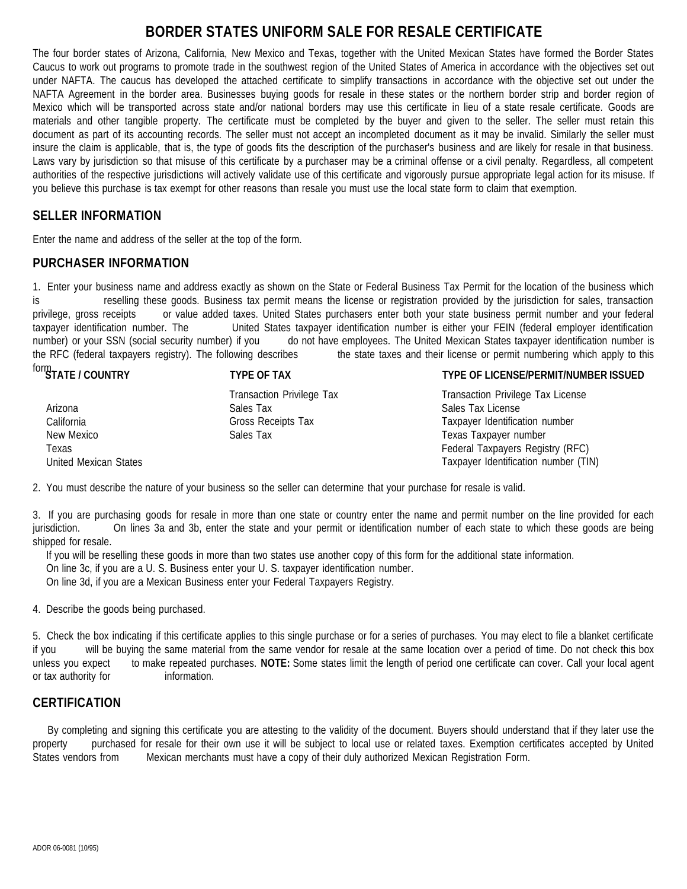# **BORDER STATES UNIFORM SALE FOR RESALE CERTIFICATE**

The four border states of Arizona, California, New Mexico and Texas, together with the United Mexican States have formed the Border States Caucus to work out programs to promote trade in the southwest region of the United States of America in accordance with the objectives set out under NAFTA. The caucus has developed the attached certificate to simplify transactions in accordance with the objective set out under the NAFTA Agreement in the border area. Businesses buying goods for resale in these states or the northern border strip and border region of Mexico which will be transported across state and/or national borders may use this certificate in lieu of a state resale certificate. Goods are materials and other tangible property. The certificate must be completed by the buyer and given to the seller. The seller must retain this document as part of its accounting records. The seller must not accept an incompleted document as it may be invalid. Similarly the seller must insure the claim is applicable, that is, the type of goods fits the description of the purchaser's business and are likely for resale in that business. Laws vary by jurisdiction so that misuse of this certificate by a purchaser may be a criminal offense or a civil penalty. Regardless, all competent authorities of the respective jurisdictions will actively validate use of this certificate and vigorously pursue appropriate legal action for its misuse. If you believe this purchase is tax exempt for other reasons than resale you must use the local state form to claim that exemption.

## **SELLER INFORMATION**

Enter the name and address of the seller at the top of the form.

### **PURCHASER INFORMATION**

1. Enter your business name and address exactly as shown on the State or Federal Business Tax Permit for the location of the business which is reselling these goods. Business tax permit means the license or registration provided by the jurisdiction for sales, transaction privilege, gross receipts or value added taxes. United States purchasers enter both your state business permit number and your federal taxpayer identification number. The United States taxpayer identification number is either your FEIN (federal employer identification number) or your SSN (social security number) if you do not have employees. The United Mexican States taxpayer identification number is the RFC (federal taxpayers registry). The following describes the state taxes and their license or permit numbering which apply to this form.

| "STATE / COUNTRY      | <b>TYPE OF TAX</b>        | TYPE OF LICENSE/PERMIT/NUMBER ISSUED |
|-----------------------|---------------------------|--------------------------------------|
|                       | Transaction Privilege Tax | Transaction Privilege Tax License    |
| Arizona               | Sales Tax                 | Sales Tax License                    |
| California            | Gross Receipts Tax        | Taxpayer Identification number       |
| New Mexico            | Sales Tax                 | Texas Taxpayer number                |
| Texas                 |                           | Federal Taxpayers Registry (RFC)     |
| United Mexican States |                           | Taxpayer Identification number (TIN) |

2. You must describe the nature of your business so the seller can determine that your purchase for resale is valid.

3. If you are purchasing goods for resale in more than one state or country enter the name and permit number on the line provided for each jurisdiction. On lines 3a and 3b, enter the state and your permit or identification number of each state to which these goods are being shipped for resale.

If you will be reselling these goods in more than two states use another copy of this form for the additional state information.

On line 3c, if you are a U. S. Business enter your U. S. taxpayer identification number.

On line 3d, if you are a Mexican Business enter your Federal Taxpayers Registry.

4. Describe the goods being purchased.

5. Check the box indicating if this certificate applies to this single purchase or for a series of purchases. You may elect to file a blanket certificate if you will be buying the same material from the same vendor for resale at the same location over a period of time. Do not check this box unless you expect to make repeated purchases. **NOTE:** Some states limit the length of period one certificate can cover. Call your local agent or tax authority for information.

# **CERTIFICATION**

By completing and signing this certificate you are attesting to the validity of the document. Buyers should understand that if they later use the property purchased for resale for their own use it will be subject to local use or related taxes. Exemption certificates accepted by United States vendors from Mexican merchants must have a copy of their duly authorized Mexican Registration Form.